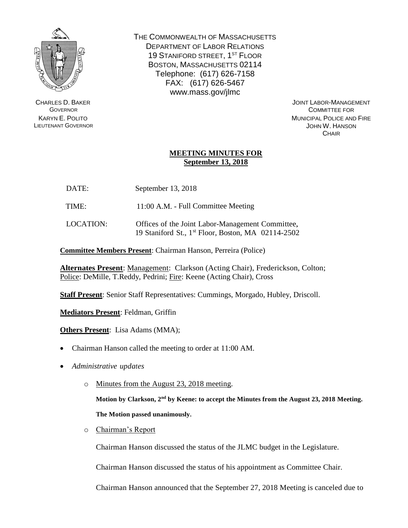

CHARLES D. BAKER **GOVERNOR** KARYN E. POLITO LIEUTENANT GOVERNOR THE COMMONWEALTH OF MASSACHUSETTS DEPARTMENT OF LABOR RELATIONS 19 STANIFORD STREET, 1<sup>ST</sup> FLOOR BOSTON, MASSACHUSETTS 02114 Telephone: (617) 626-7158 FAX: (617) 626-5467 www.mass.gov/jlmc

> JOINT LABOR-MANAGEMENT COMMITTEE FOR MUNICIPAL POLICE AND FIRE JOHN W. HANSON **CHAIR**

## **MEETING MINUTES FOR September 13, 2018**

- DATE: September 13, 2018
- TIME: 11:00 A.M. Full Committee Meeting
- LOCATION: Offices of the Joint Labor-Management Committee, 19 Staniford St., 1 st Floor, Boston, MA 02114-2502

**Committee Members Present**: Chairman Hanson, Perreira (Police)

**Alternates Present**: Management: Clarkson (Acting Chair), Frederickson, Colton; Police: DeMille, T.Reddy, Pedrini; Fire: Keene (Acting Chair), Cross

**Staff Present**: Senior Staff Representatives: Cummings, Morgado, Hubley, Driscoll.

**Mediators Present**: Feldman, Griffin

**Others Present**: Lisa Adams (MMA);

- Chairman Hanson called the meeting to order at 11:00 AM.
- *Administrative updates*
	- o Minutes from the August 23, 2018 meeting.

**Motion by Clarkson, 2 nd by Keene: to accept the Minutes from the August 23, 2018 Meeting. The Motion passed unanimously.**

o Chairman's Report

Chairman Hanson discussed the status of the JLMC budget in the Legislature.

Chairman Hanson discussed the status of his appointment as Committee Chair.

Chairman Hanson announced that the September 27, 2018 Meeting is canceled due to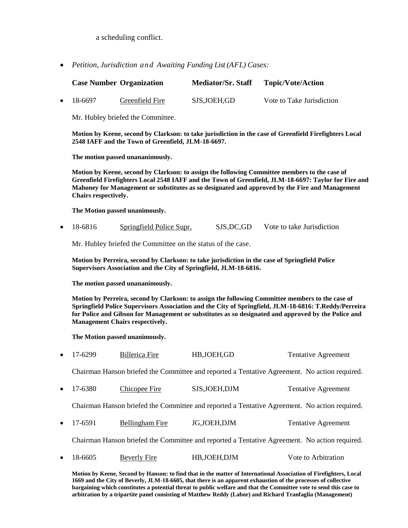a scheduling conflict.

*Petition, Jurisdiction and Awaiting Funding List (AFL) Cases:*

|           |                                                                                                                                                                                                                                                                                                                                                            | <b>Case Number Organization</b> | Mediator/Sr. Staff | <b>Topic/Vote/Action</b>   |
|-----------|------------------------------------------------------------------------------------------------------------------------------------------------------------------------------------------------------------------------------------------------------------------------------------------------------------------------------------------------------------|---------------------------------|--------------------|----------------------------|
| $\bullet$ | 18-6697                                                                                                                                                                                                                                                                                                                                                    | Greenfield Fire                 | SJS, JOEH, GD      | Vote to Take Jurisdiction  |
|           | Mr. Hubley briefed the Committee.                                                                                                                                                                                                                                                                                                                          |                                 |                    |                            |
|           | Motion by Keene, second by Clarkson: to take jurisdiction in the case of Greenfield Firefighters Local<br>2548 IAFF and the Town of Greenfield, JLM-18-6697.                                                                                                                                                                                               |                                 |                    |                            |
|           | The motion passed unananimously.                                                                                                                                                                                                                                                                                                                           |                                 |                    |                            |
|           | Motion by Keene, second by Clarkson: to assign the following Committee members to the case of<br>Greenfield Firefighters Local 2548 IAFF and the Town of Greenfield, JLM-18-6697: Taylor for Fire and<br>Mahoney for Management or substitutes as so designated and approved by the Fire and Management<br>Chairs respectively.                            |                                 |                    |                            |
|           | The Motion passed unanimously.                                                                                                                                                                                                                                                                                                                             |                                 |                    |                            |
| $\bullet$ | 18-6816                                                                                                                                                                                                                                                                                                                                                    | Springfield Police Supr.        | SJS, DC, GD        | Vote to take Jurisdiction  |
|           | Mr. Hubley briefed the Committee on the status of the case.                                                                                                                                                                                                                                                                                                |                                 |                    |                            |
|           | Motion by Perreira, second by Clarkson: to take jurisdiction in the case of Springfield Police<br>Supervisors Association and the City of Springfield, JLM-18-6816.                                                                                                                                                                                        |                                 |                    |                            |
|           | The motion passed unananimously.                                                                                                                                                                                                                                                                                                                           |                                 |                    |                            |
|           | Motion by Perreira, second by Clarkson: to assign the following Committee members to the case of<br>Springfield Police Supervisors Association and the City of Springfield, JLM-18-6816: T.Reddy/Perreira<br>for Police and Gibson for Management or substitutes as so designated and approved by the Police and<br><b>Management Chairs respectively.</b> |                                 |                    |                            |
|           | The Motion passed unanimously.                                                                                                                                                                                                                                                                                                                             |                                 |                    |                            |
| $\bullet$ | 17-6299                                                                                                                                                                                                                                                                                                                                                    | <b>Billerica Fire</b>           | HB, JOEH, GD       | <b>Tentative Agreement</b> |
|           | Chairman Hanson briefed the Committee and reported a Tentative Agreement. No action required.                                                                                                                                                                                                                                                              |                                 |                    |                            |
| ٠         | 17-6380                                                                                                                                                                                                                                                                                                                                                    | Chicopee Fire                   | SJS, JOEH, DJM     | <b>Tentative Agreement</b> |
|           | Chairman Hanson briefed the Committee and reported a Tentative Agreement. No action required.                                                                                                                                                                                                                                                              |                                 |                    |                            |
| ٠         | 17-6591                                                                                                                                                                                                                                                                                                                                                    | <b>Bellingham Fire</b>          | JG,JOEH,DJM        | <b>Tentative Agreement</b> |
|           | Chairman Hanson briefed the Committee and reported a Tentative Agreement. No action required.                                                                                                                                                                                                                                                              |                                 |                    |                            |
| ٠         | 18-6605                                                                                                                                                                                                                                                                                                                                                    | <b>Beverly Fire</b>             | HB, JOEH, DJM      | Vote to Arbitration        |
|           | Motion by Keene, Second by Hanson: to find that in the matter of International Association of Firefighters, Local                                                                                                                                                                                                                                          |                                 |                    |                            |

**1669 and the City of Beverly, JLM-18-6605, that there is an apparent exhaustion of the processes of collective bargaining which constitutes a potential threat to public welfare and that the Committee vote to send this case to arbitration by a tripartite panel consisting of Matthew Reddy (Labor) and Richard Tranfaglia (Management)**